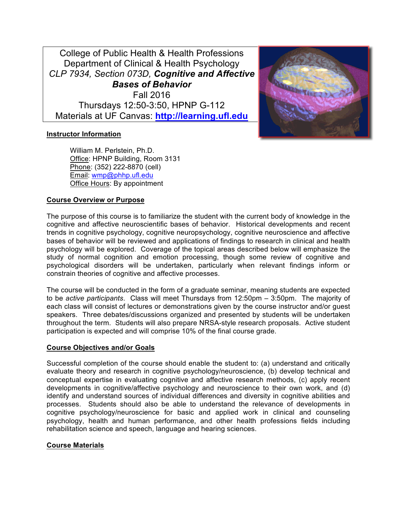College of Public Health & Health Professions Department of Clinical & Health Psychology *CLP 7934, Section 073D, Cognitive and Affective Bases of Behavior* Fall 2016 Thursdays 12:50-3:50, HPNP G-112 Materials at UF Canvas: **http://learning.ufl.edu**



#### **Instructor Information**

William M. Perlstein, Ph.D. Office: HPNP Building, Room 3131 Phone: (352) 222-8870 (cell) Email: wmp@phhp.ufl.edu Office Hours: By appointment

## **Course Overview or Purpose**

The purpose of this course is to familiarize the student with the current body of knowledge in the cognitive and affective neuroscientific bases of behavior. Historical developments and recent trends in cognitive psychology, cognitive neuropsychology, cognitive neuroscience and affective bases of behavior will be reviewed and applications of findings to research in clinical and health psychology will be explored. Coverage of the topical areas described below will emphasize the study of normal cognition and emotion processing, though some review of cognitive and psychological disorders will be undertaken, particularly when relevant findings inform or constrain theories of cognitive and affective processes.

The course will be conducted in the form of a graduate seminar, meaning students are expected to be *active participants*. Class will meet Thursdays from 12:50pm – 3:50pm. The majority of each class will consist of lectures or demonstrations given by the course instructor and/or guest speakers. Three debates/discussions organized and presented by students will be undertaken throughout the term. Students will also prepare NRSA-style research proposals. Active student participation is expected and will comprise 10% of the final course grade.

#### **Course Objectives and/or Goals**

Successful completion of the course should enable the student to: (a) understand and critically evaluate theory and research in cognitive psychology/neuroscience, (b) develop technical and conceptual expertise in evaluating cognitive and affective research methods, (c) apply recent developments in cognitive/affective psychology and neuroscience to their own work, and (d) identify and understand sources of individual differences and diversity in cognitive abilities and processes. Students should also be able to understand the relevance of developments in cognitive psychology/neuroscience for basic and applied work in clinical and counseling psychology, health and human performance, and other health professions fields including rehabilitation science and speech, language and hearing sciences.

#### **Course Materials**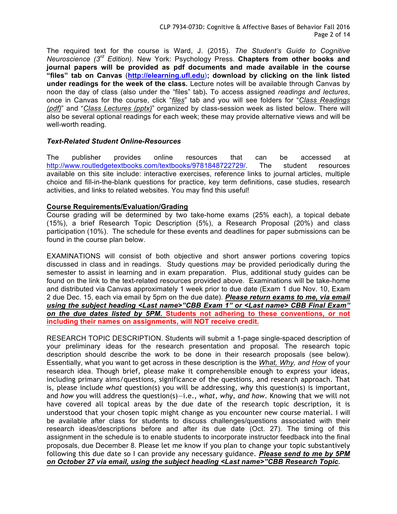The required text for the course is Ward, J. (2015). *The Student's Guide to Cognitive Neuroscience (3rd Edition)*. New York: Psychology Press. **Chapters from other books and journal papers will be provided as pdf documents and made available in the course "files" tab on Canvas** (**http://elearning.ufl.edu); download by clicking on the link listed under readings for the week of the class.** Lecture notes will be available through Canvas by noon the day of class (also under the "files" tab)**.** To access assigned *readings and lectures*, once in Canvas for the course, click "*files*" tab and you will see folders for "*Class Readings (pdf)*" and "*Class Lectures (pptx)*" organized by class-session week as listed below. There will also be several optional readings for each week; these may provide alternative views and will be well-worth reading.

## *Text-Related Student Online-Resources*

The publisher provides online resources that can be accessed at http://www.routledgetextbooks.com/textbooks/9781848722729/. The student resources available on this site include: interactive exercises, reference links to journal articles, multiple choice and fill-in-the-blank questions for practice, key term definitions, case studies, research activities, and links to related websites. You may find this useful!

## **Course Requirements/Evaluation/Grading**

Course grading will be determined by two take-home exams (25% each), a topical debate (15%), a brief Research Topic Description (5%), a Research Proposal (20%) and class participation (10%). The schedule for these events and deadlines for paper submissions can be found in the course plan below.

EXAMINATIONS will consist of both objective and short answer portions covering topics discussed in class and in readings. Study questions *may* be provided periodically during the semester to assist in learning and in exam preparation. Plus, additional study guides can be found on the link to the text-related resources provided above. Examinations will be take-home and distributed via Canvas approximately 1 week prior to due date (Exam 1 due Nov. 10, Exam 2 due Dec. 15, each via email by 5pm on the due date). *Please return exams to me, via email using the subject heading <Last name>"CBB Exam 1" or <Last name> CBB Final Exam" on the due dates listed by 5PM.* **Students not adhering to these conventions, or not including their names on assignments, will NOT receive credit.**

RESEARCH TOPIC DESCRIPTION. Students will submit a 1-page single-spaced description of your preliminary ideas for the research presentation and proposal. The research topic description should describe the work to be done in their research proposals (see below). Essentially, what you want to get across in these description is the *What, Why, and How* of your research idea. Though brief, please make it comprehensible enough to express your ideas, including primary aims/questions, significance of the questions, and research approach. That is, please include *what* question(s) you will be addressing, *why* this question(s) is important, and *how* you will address the question(s)—i.e., *what, why, and how*. Knowing that we will not have covered all topical areas by the due date of the research topic description, it is understood that your chosen topic might change as you encounter new course material. I will be available after class for students to discuss challenges/questions associated with their research ideas/descriptions before and after its due date (Oct. 27). The timing of this assignment in the schedule is to enable students to incorporate instructor feedback into the final proposals, due December 8. Please let me know if you plan to change your topic substantively following this due date so I can provide any necessary guidance. *Please send to me by 5PM on October 27 via email, using the subject heading <Last name>"CBB Research Topic.*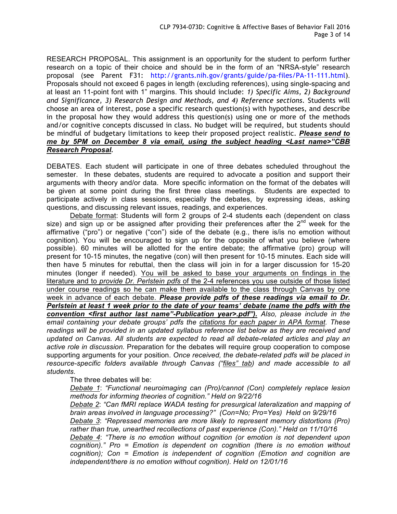RESEARCH PROPOSAL. This assignment is an opportunity for the student to perform further research on a topic of their choice and should be in the form of an "NRSA-style" research proposal (see Parent F31: http://grants.nih.gov/grants/guide/pa-files/PA-11-111.html). Proposals should not exceed 6 pages in length (excluding references), using single-spacing and at least an 11-point font with 1" margins. This should include: *1) Specific Aims, 2) Background and Significance, 3) Research Design and Methods, and 4) Reference sections*. Students will choose an area of interest, pose a specific research question(s) with hypotheses, and describe in the proposal how they would address this question(s) using one or more of the methods and/or cognitive concepts discussed in class. No budget will be required, but students should be mindful of budgetary limitations to keep their proposed project realistic. *Please send to me by 5PM on December 8 via email, using the subject heading <Last name>"CBB Research Proposal.*

DEBATES. Each student will participate in one of three debates scheduled throughout the semester. In these debates, students are required to advocate a position and support their arguments with theory and/or data. More specific information on the format of the debates will be given at some point during the first three class meetings. Students are expected to participate actively in class sessions, especially the debates, by expressing ideas, asking questions, and discussing relevant issues, readings, and experiences.

Debate format: Students will form 2 groups of 2-4 students each (dependent on class size) and sign up or be assigned after providing their preferences after the  $2^{nd}$  week for the affirmative ("pro") or negative ("con") side of the debate (e.g., there is/is no emotion without cognition). You will be encouraged to sign up for the opposite of what you believe (where possible). 60 minutes will be allotted for the entire debate; the affirmative (pro) group will present for 10-15 minutes, the negative (con) will then present for 10-15 minutes. Each side will then have 5 minutes for rebuttal, then the class will join in for a larger discussion for 15-20 minutes (longer if needed). You will be asked to base your arguments on findings in the literature and to *provide Dr. Perlstein pdfs* of the 2-4 references you use outside of those listed under course readings so he can make them available to the class through Canvas by one week in advance of each debate. *Please provide pdfs of these readings via email to Dr. Perlstein at least 1 week prior to the date of your teams' debate (name the pdfs with the convention <first author last name"-Publication year>.pdf"). Also, please include in the email containing your debate groups' pdfs the citations for each paper in APA format. These readings will be provided in an updated syllabus reference list below as they are received and updated on Canvas. All students are expected to read all debate-related articles and play an active role in discussion.* Preparation for the debates will require group cooperation to compose supporting arguments for your position. *Once received, the debate-related pdfs will be placed in resource-specific folders available through Canvas ("files" tab) and made accessible to all students.*

The three debates will be:

*Debate 1*: *"Functional neuroimaging can (Pro)/cannot (Con) completely replace lesion methods for informing theories of cognition." Held on 9/22/16*

*Debate 2*: *"Can fMRI replace WADA testing for presurgical lateralization and mapping of brain areas involved in language processing?" (Con=No; Pro=Yes) Held on 9/29/16*

*Debate 3*: *"Repressed memories are more likely to represent memory distortions (Pro) rather than true, unearthed recollections of past experience (Con)." Held on 11/10/16*

*Debate 4*: *"There is no emotion without cognition (or emotion is not dependent upon cognition)." Pro = Emotion is dependent on cognition (there is no emotion without cognition); Con = Emotion is independent of cognition (Emotion and cognition are independent/there is no emotion without cognition). Held on 12/01/16*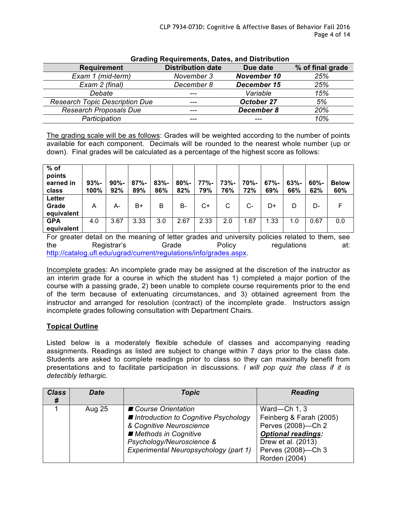| <b>Grading Requirements, Dates, and Distribution</b> |                          |                    |                  |  |
|------------------------------------------------------|--------------------------|--------------------|------------------|--|
| <b>Requirement</b>                                   | <b>Distribution date</b> | Due date           | % of final grade |  |
| Exam 1 (mid-term)                                    | November 3               | <b>November 10</b> | 25%              |  |
| Exam 2 (final)                                       | December 8               | December 15        | 25%              |  |
| Debate                                               | ---                      | Variable           | 15%              |  |
| <b>Research Topic Description Due</b>                | ---                      | October 27         | 5%               |  |
| <b>Research Proposals Due</b>                        | ---                      | December 8         | 20%              |  |
| Participation                                        |                          |                    | 10%              |  |

The grading scale will be as follows: Grades will be weighted according to the number of points available for each component. Decimals will be rounded to the nearest whole number (up or down). Final grades will be calculated as a percentage of the highest score as follows:

| $%$ of<br>points<br>earned in<br>class | $93% -$<br>100% | $90% -$<br>92% | $87% -$<br>89% | $83% -$<br>86% | $80% -$<br>82% | $77% -$<br>79% | $73% -$<br>76% | 70%-<br>72% | $67% -$<br>69% | $63% -$<br>66% | $60% -$<br>62% | <b>Below</b><br>60% |
|----------------------------------------|-----------------|----------------|----------------|----------------|----------------|----------------|----------------|-------------|----------------|----------------|----------------|---------------------|
| Letter<br>Grade<br>equivalent          | А               | А-             | B+             | B              | <b>B-</b>      | C+             | C              | $C-$        | D+             | D              | D-             |                     |
| <b>GPA</b><br>equivalent               | 4.0             | 3.67           | 3.33           | 3.0            | 2.67           | 2.33           | 2.0            | 1.67        | 1.33           | 1.0            | 0.67           | 0.0                 |

For greater detail on the meaning of letter grades and university policies related to them, see the Registrar's Grade Policy regulations at: http://catalog.ufl.edu/ugrad/current/regulations/info/grades.aspx.

Incomplete grades: An incomplete grade may be assigned at the discretion of the instructor as an interim grade for a course in which the student has 1) completed a major portion of the course with a passing grade, 2) been unable to complete course requirements prior to the end of the term because of extenuating circumstances, and 3) obtained agreement from the instructor and arranged for resolution (contract) of the incomplete grade. Instructors assign incomplete grades following consultation with Department Chairs.

# **Topical Outline**

Listed below is a moderately flexible schedule of classes and accompanying reading assignments. Readings as listed are subject to change within 7 days prior to the class date. Students are asked to complete readings prior to class so they can maximally benefit from presentations and to facilitate participation in discussions. *I will pop quiz the class if it is detectibly lethargic.*

| <b>Class</b><br># | <b>Date</b> | <b>Topic</b>                                                                                                                                                                             | <b>Reading</b>                                                                                                                                          |
|-------------------|-------------|------------------------------------------------------------------------------------------------------------------------------------------------------------------------------------------|---------------------------------------------------------------------------------------------------------------------------------------------------------|
|                   | Aug 25      | ■ Course Orientation<br>■ Introduction to Cognitive Psychology<br>& Cognitive Neuroscience<br>Methods in Cognitive<br>Psychology/Neuroscience &<br>Experimental Neuropsychology (part 1) | Ward-Ch 1, 3<br>Feinberg & Farah (2005)<br>Perves (2008)-Ch 2<br><b>Optional readings:</b><br>Drew et al. (2013)<br>Perves (2008)-Ch 3<br>Rorden (2004) |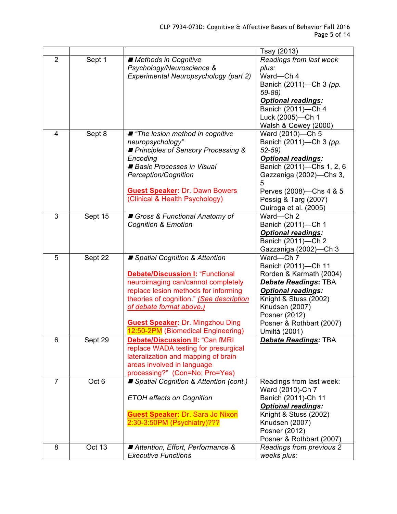|                |         |                                                                               | Tsay (2013)                                  |
|----------------|---------|-------------------------------------------------------------------------------|----------------------------------------------|
| $\overline{2}$ | Sept 1  | ■ Methods in Cognitive                                                        | Readings from last week                      |
|                |         | Psychology/Neuroscience &                                                     | plus:                                        |
|                |         | Experimental Neuropsychology (part 2)                                         | Ward-Ch 4                                    |
|                |         |                                                                               | Banich (2011)-Ch 3 (pp.                      |
|                |         |                                                                               | 59-88)                                       |
|                |         |                                                                               | <b>Optional readings:</b>                    |
|                |         |                                                                               | Banich (2011)-Ch 4                           |
|                |         |                                                                               | Luck (2005)-Ch 1                             |
|                |         |                                                                               | Walsh & Cowey (2000)                         |
| 4              | Sept 8  | ■ "The lesion method in cognitive                                             | Ward (2010)-Ch 5                             |
|                |         | neuropsychology"                                                              | Banich (2011)-Ch 3 (pp.                      |
|                |         | Principles of Sensory Processing &                                            | $52-59$                                      |
|                |         | Encoding                                                                      | <b>Optional readings:</b>                    |
|                |         | Basic Processes in Visual                                                     | Banich (2011)-Chs 1, 2, 6                    |
|                |         | Perception/Cognition                                                          | Gazzaniga (2002)-Chs 3,                      |
|                |         |                                                                               | 5                                            |
|                |         | <b>Guest Speaker: Dr. Dawn Bowers</b>                                         | Perves (2008)-Chs 4 & 5                      |
|                |         | (Clinical & Health Psychology)                                                | Pessig & Targ (2007)                         |
|                |         |                                                                               | Quiroga et al. (2005)                        |
| 3              | Sept 15 | Gross & Functional Anatomy of                                                 | Ward-Ch 2                                    |
|                |         | <b>Cognition &amp; Emotion</b>                                                | Banich (2011)-Ch 1                           |
|                |         |                                                                               | <b>Optional readings:</b>                    |
|                |         |                                                                               | Banich (2011)-Ch 2                           |
|                |         |                                                                               | Gazzaniga (2002)—Ch 3                        |
| 5              | Sept 22 | ■ Spatial Cognition & Attention                                               | Ward-Ch 7                                    |
|                |         |                                                                               | Banich (2011)-Ch 11                          |
|                |         | <b>Debate/Discussion I: "Functional</b>                                       | Rorden & Karmath (2004)                      |
|                |         | neuroimaging can/cannot completely                                            | <b>Debate Readings: TBA</b>                  |
|                |         | replace lesion methods for informing                                          | <b>Optional readings:</b>                    |
|                |         | theories of cognition." (See description                                      | Knight & Stuss (2002)                        |
|                |         | of debate format above.)                                                      | Knudsen (2007)                               |
|                |         |                                                                               | Posner (2012)                                |
|                |         | <b>Guest Speaker: Dr. Mingzhou Ding</b><br>12:50-2PM (Biomedical Engineering) | Posner & Rothbart (2007)                     |
|                |         |                                                                               | Umiltà (2001)                                |
| 6              | Sept 29 | <b>Debate/Discussion II: "Can fMRI</b>                                        | <b>Debate Readings: TBA</b>                  |
|                |         | replace WADA testing for presurgical                                          |                                              |
|                |         | lateralization and mapping of brain                                           |                                              |
|                |         | areas involved in language                                                    |                                              |
| $\overline{7}$ |         | processing?" (Con=No; Pro=Yes)                                                |                                              |
|                | Oct 6   | ■ Spatial Cognition & Attention (cont.)                                       | Readings from last week:<br>Ward (2010)-Ch 7 |
|                |         |                                                                               | Banich (2011)-Ch 11                          |
|                |         | <b>ETOH effects on Cognition</b>                                              | <b>Optional readings:</b>                    |
|                |         | <b>Guest Speaker: Dr. Sara Jo Nixon</b>                                       | Knight & Stuss (2002)                        |
|                |         | 2:30-3:50PM (Psychiatry)???                                                   | Knudsen (2007)                               |
|                |         |                                                                               | Posner (2012)                                |
|                |         |                                                                               | Posner & Rothbart (2007)                     |
| 8              | Oct 13  | ■ Attention, Effort, Performance &                                            | Readings from previous 2                     |
|                |         | <b>Executive Functions</b>                                                    | weeks plus:                                  |
|                |         |                                                                               |                                              |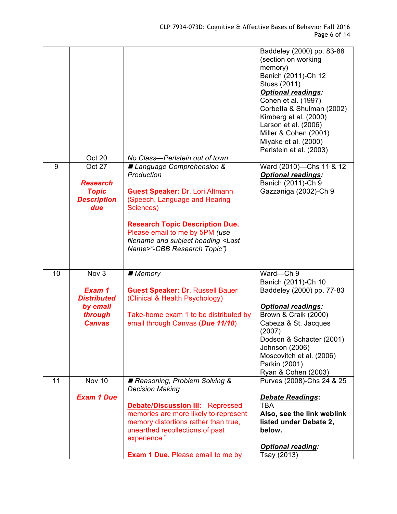|                |                                                                               |                                                                                                                                                                                                                                                                                                | Baddeley (2000) pp. 83-88<br>(section on working<br>memory)<br>Banich (2011)-Ch 12<br>Stuss (2011)<br><b>Optional readings:</b><br>Cohen et al. (1997)<br>Corbetta & Shulman (2002)<br>Kimberg et al. (2000)<br>Larson et al. (2006)<br>Miller & Cohen (2001)<br>Miyake et al. (2000)<br>Perlstein et al. (2003) |
|----------------|-------------------------------------------------------------------------------|------------------------------------------------------------------------------------------------------------------------------------------------------------------------------------------------------------------------------------------------------------------------------------------------|------------------------------------------------------------------------------------------------------------------------------------------------------------------------------------------------------------------------------------------------------------------------------------------------------------------|
|                | Oct 20                                                                        | No Class-Perlstein out of town                                                                                                                                                                                                                                                                 |                                                                                                                                                                                                                                                                                                                  |
| $\overline{9}$ | <b>Oct 27</b><br><b>Research</b><br><b>Topic</b><br><b>Description</b><br>due | ■ Language Comprehension &<br>Production<br><b>Guest Speaker: Dr. Lori Altmann</b><br>(Speech, Language and Hearing<br>Sciences)<br><b>Research Topic Description Due.</b><br>Please email to me by 5PM (use<br>filename and subject heading <last<br>Name&gt;"-CBB Research Topic")</last<br> | Ward (2010)-Chs 11 & 12<br><b>Optional readings:</b><br>Banich (2011)-Ch 9<br>Gazzaniga (2002)-Ch 9                                                                                                                                                                                                              |
| 10             | Nov <sub>3</sub>                                                              | $\blacksquare$ Memory                                                                                                                                                                                                                                                                          | Ward-Ch 9<br>Banich (2011)-Ch 10                                                                                                                                                                                                                                                                                 |
|                | Exam 1<br><b>Distributed</b><br>by email<br>through<br><b>Canvas</b>          | <b>Guest Speaker: Dr. Russell Bauer</b><br>(Clinical & Health Psychology)<br>Take-home exam 1 to be distributed by<br>email through Canvas (Due 11/10)                                                                                                                                         | Baddeley (2000) pp. 77-83<br><b>Optional readings:</b><br>Brown & Craik (2000)<br>Cabeza & St. Jacques<br>(2007)<br>Dodson & Schacter (2001)<br>Johnson (2006)<br>Moscovitch et al. (2006)<br>Parkin (2001)                                                                                                      |
| 11             | Nov 10                                                                        | Reasoning, Problem Solving &                                                                                                                                                                                                                                                                   | Ryan & Cohen (2003)<br>Purves (2008)-Chs 24 & 25                                                                                                                                                                                                                                                                 |
|                | <b>Exam 1 Due</b>                                                             | <b>Decision Making</b><br><b>Debate/Discussion III: "Repressed</b><br>memories are more likely to represent<br>memory distortions rather than true,<br>unearthed recollections of past<br>experience."                                                                                         | <b>Debate Readings:</b><br><b>TBA</b><br>Also, see the link weblink<br>listed under Debate 2,<br>below.<br><b>Optional reading:</b>                                                                                                                                                                              |
|                |                                                                               | <b>Exam 1 Due.</b> Please email to me by                                                                                                                                                                                                                                                       | Tsay (2013)                                                                                                                                                                                                                                                                                                      |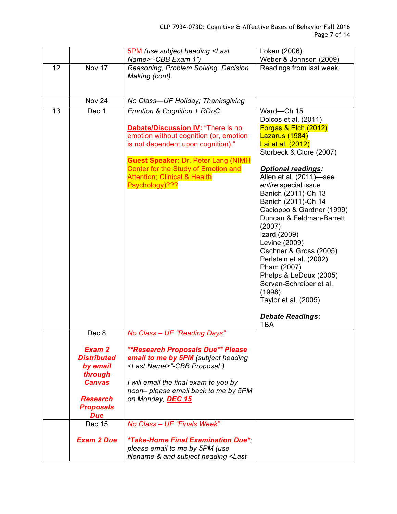|    |                                                                                                                                    | 5PM (use subject heading <last<br>Name&gt;"-CBB Exam 1")</last<br>                                                                                                                                                                                                                                        | Loken (2006)<br>Weber & Johnson (2009)                                                                                                                                                                                                                                                                                                                                                                                                                                                                                                               |
|----|------------------------------------------------------------------------------------------------------------------------------------|-----------------------------------------------------------------------------------------------------------------------------------------------------------------------------------------------------------------------------------------------------------------------------------------------------------|------------------------------------------------------------------------------------------------------------------------------------------------------------------------------------------------------------------------------------------------------------------------------------------------------------------------------------------------------------------------------------------------------------------------------------------------------------------------------------------------------------------------------------------------------|
| 12 | Nov 17                                                                                                                             | Reasoning, Problem Solving, Decision<br>Making (cont).                                                                                                                                                                                                                                                    | Readings from last week                                                                                                                                                                                                                                                                                                                                                                                                                                                                                                                              |
|    | Nov 24                                                                                                                             | No Class-UF Holiday; Thanksgiving                                                                                                                                                                                                                                                                         |                                                                                                                                                                                                                                                                                                                                                                                                                                                                                                                                                      |
| 13 | Dec 1                                                                                                                              | Emotion & Cognition + RDoC<br><b>Debate/Discussion IV: "There is no</b><br>emotion without cognition (or, emotion<br>is not dependent upon cognition)."<br><b>Guest Speaker: Dr. Peter Lang (NIMH</b><br>Center for the Study of Emotion and<br><b>Attention; Clinical &amp; Health</b><br>Psychology)??? | Ward-Ch 15<br>Dolcos et al. (2011)<br>Forgas & Elch (2012)<br>Lazarus (1984)<br>Lai et al. (2012)<br>Storbeck & Clore (2007)<br><b>Optional readings:</b><br>Allen et al. (2011)-see<br>entire special issue<br>Banich (2011)-Ch 13<br>Banich (2011)-Ch 14<br>Cacioppo & Gardner (1999)<br>Duncan & Feldman-Barrett<br>(2007)<br>Izard (2009)<br>Levine (2009)<br>Oschner & Gross (2005)<br>Perlstein et al. (2002)<br>Pham (2007)<br>Phelps & LeDoux (2005)<br>Servan-Schreiber et al.<br>(1998)<br>Taylor et al. (2005)<br><b>Debate Readings:</b> |
|    |                                                                                                                                    |                                                                                                                                                                                                                                                                                                           | <b>TBA</b>                                                                                                                                                                                                                                                                                                                                                                                                                                                                                                                                           |
|    | Dec 8<br>Exam 2<br><b>Distributed</b><br>by email<br>through<br><b>Canvas</b><br><b>Research</b><br><b>Proposals</b><br><b>Due</b> | No Class - UF "Reading Days"<br><b>**Research Proposals Due** Please</b><br>email to me by 5PM (subject heading<br><last name="">"-CBB Proposal")<br/>I will email the final exam to you by<br/>noon- please email back to me by 5PM<br/>on Monday, DEC 15</last>                                         |                                                                                                                                                                                                                                                                                                                                                                                                                                                                                                                                                      |
|    | Dec 15                                                                                                                             | No Class - UF "Finals Week"                                                                                                                                                                                                                                                                               |                                                                                                                                                                                                                                                                                                                                                                                                                                                                                                                                                      |
|    | <b>Exam 2 Due</b>                                                                                                                  | <i>*Take-Home Final Examination Due*</i><br>please email to me by 5PM (use<br>filename & and subject heading <last< td=""><td></td></last<>                                                                                                                                                               |                                                                                                                                                                                                                                                                                                                                                                                                                                                                                                                                                      |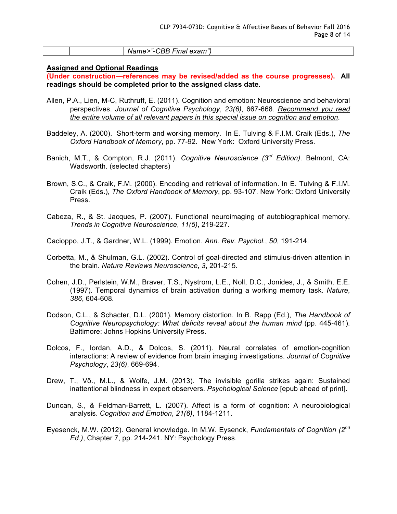|  | - -<br>Q C<br>$N_{\rm h}$<br>exam"'<br>$-$ in $\epsilon$<br>$-$<br>ınaı<br><br>. |  |
|--|----------------------------------------------------------------------------------|--|
|--|----------------------------------------------------------------------------------|--|

#### **Assigned and Optional Readings**

**(Under construction—references may be revised/added as the course progresses). All readings should be completed prior to the assigned class date.**

- Allen, P.A., Lien, M-C, Ruthruff, E. (2011). Cognition and emotion: Neuroscience and behavioral perspectives. *Journal of Cognitive Psychology*, *23(6)*, 667-668. *Recommend you read the entire volume of all relevant papers in this special issue on cognition and emotion*.
- Baddeley, A. (2000). Short-term and working memory. In E. Tulving & F.I.M. Craik (Eds.), *The Oxford Handbook of Memory*, pp. 77-92. New York: Oxford University Press.
- Banich, M.T., & Compton, R.J. (2011). *Cognitive Neuroscience (3rd Edition)*. Belmont, CA: Wadsworth. (selected chapters)
- Brown, S.C., & Craik, F.M. (2000). Encoding and retrieval of information. In E. Tulving & F.I.M. Craik (Eds.), *The Oxford Handbook of Memory*, pp. 93-107. New York: Oxford University Press.
- Cabeza, R., & St. Jacques, P. (2007). Functional neuroimaging of autobiographical memory. *Trends in Cognitive Neuroscience*, *11(5)*, 219-227.
- Cacioppo, J.T., & Gardner, W.L. (1999). Emotion. *Ann. Rev. Psychol.*, *50*, 191-214.
- Corbetta, M., & Shulman, G.L. (2002). Control of goal-directed and stimulus-driven attention in the brain. *Nature Reviews Neuroscience*, *3*, 201-215.
- Cohen, J.D., Perlstein, W.M., Braver, T.S., Nystrom, L.E., Noll, D.C., Jonides, J., & Smith, E.E. (1997). Temporal dynamics of brain activation during a working memory task. *Nature*, *386*, 604-608*.*
- Dodson, C.L., & Schacter, D.L. (2001). Memory distortion. In B. Rapp (Ed.), *The Handbook of Cognitive Neuropsychology: What deficits reveal about the human mind* (pp. 445-461). Baltimore: Johns Hopkins University Press.
- Dolcos, F., Iordan, A.D., & Dolcos, S. (2011). Neural correlates of emotion-cognition interactions: A review of evidence from brain imaging investigations. *Journal of Cognitive Psychology*, *23(6)*, 669-694.
- Drew, T., Võ., M.L., & Wolfe, J.M. (2013). The invisible gorilla strikes again: Sustained inattentional blindness in expert observers. *Psychological Science* [epub ahead of print].
- Duncan, S., & Feldman-Barrett, L. (2007). Affect is a form of cognition: A neurobiological analysis. *Cognition and Emotion*, *21(6)*, 1184-1211.
- Eyesenck, M.W. (2012). General knowledge. In M.W. Eysenck, *Fundamentals of Cognition (2nd Ed.)*, Chapter 7, pp. 214-241. NY: Psychology Press.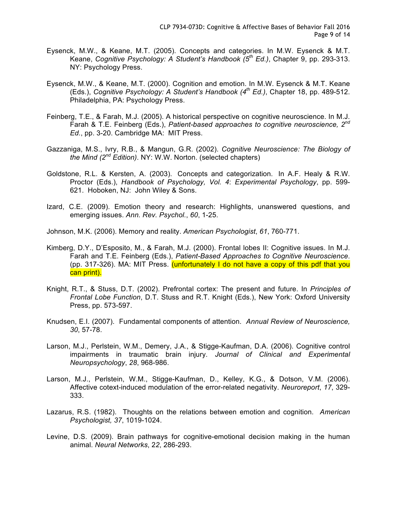- Eysenck, M.W., & Keane, M.T. (2005). Concepts and categories. In M.W. Eysenck & M.T. Keane, *Cognitive Psychology: A Student's Handbook (5th Ed.)*, Chapter 9, pp. 293-313. NY: Psychology Press.
- Eysenck, M.W., & Keane, M.T. (2000). Cognition and emotion. In M.W. Eysenck & M.T. Keane (Eds.), *Cognitive Psychology: A Student's Handbook (4th Ed.)*, Chapter 18, pp. 489-512. Philadelphia, PA: Psychology Press.
- Feinberg, T.E., & Farah, M.J. (2005). A historical perspective on cognitive neuroscience. In M.J. Farah & T.E. Feinberg (Eds.), *Patient-based approaches to cognitive neuroscience, 2nd Ed.*, pp. 3-20. Cambridge MA: MIT Press.
- Gazzaniga, M.S., Ivry, R.B., & Mangun, G.R. (2002). *Cognitive Neuroscience: The Biology of the Mind (2nd Edition)*. NY: W.W. Norton. (selected chapters)
- Goldstone, R.L. & Kersten, A. (2003). Concepts and categorization. In A.F. Healy & R.W. Proctor (Eds.), *Handbook of Psychology, Vol. 4*: *Experimental Psychology*, pp. 599- 621. Hoboken, NJ: John Wiley & Sons.
- Izard, C.E. (2009). Emotion theory and research: Highlights, unanswered questions, and emerging issues. *Ann. Rev. Psychol.*, *60*, 1-25.
- Johnson, M.K. (2006). Memory and reality. *American Psychologist*, *61*, 760-771.
- Kimberg, D.Y., D'Esposito, M., & Farah, M.J. (2000). Frontal lobes II: Cognitive issues. In M.J. Farah and T.E. Feinberg (Eds.), *Patient-Based Approaches to Cognitive Neuroscience*. (pp. 317-326). MA: MIT Press. (unfortunately I do not have a copy of this pdf that you can print).
- Knight, R.T., & Stuss, D.T. (2002). Prefrontal cortex: The present and future. In *Principles of Frontal Lobe Function*, D.T. Stuss and R.T. Knight (Eds.), New York: Oxford University Press, pp. 573-597.
- Knudsen, E.I. (2007). Fundamental components of attention. *Annual Review of Neuroscience, 30*, 57-78.
- Larson, M.J., Perlstein, W.M., Demery, J.A., & Stigge-Kaufman, D.A. (2006). Cognitive control impairments in traumatic brain injury. *Journal of Clinical and Experimental Neuropsychology*, *28*, 968-986.
- Larson, M.J., Perlstein, W.M., Stigge-Kaufman, D., Kelley, K.G., & Dotson, V.M. (2006). Affective cotext-induced modulation of the error-related negativity. *Neuroreport*, *17*, 329- 333.
- Lazarus, R.S. (1982). Thoughts on the relations between emotion and cognition. *American Psychologist, 37*, 1019-1024.
- Levine, D.S. (2009). Brain pathways for cognitive-emotional decision making in the human animal. *Neural Networks*, 2*2*, 286-293.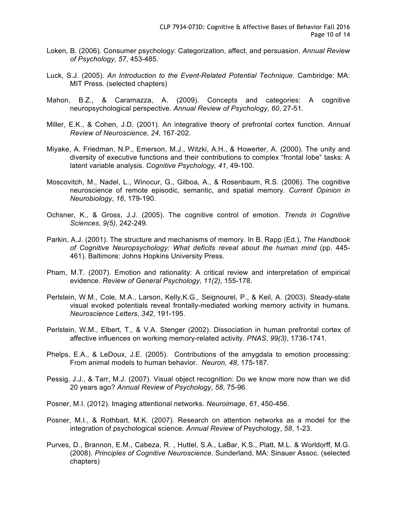- Loken, B. (2006). Consumer psychology: Categorization, affect, and persuasion. *Annual Review of Psychology*, *57*, 453-485.
- Luck, S.J. (2005). *An Introduction to the Event-Related Potential Technique*. Cambridge: MA: MIT Press. (selected chapters)
- Mahon, B.Z., & Caramazza, A. (2009). Concepts and categories: A cognitive neuropsychological perspective. *Annual Review of Psychology*, *60*, 27-51.
- Miller, E.K., & Cohen, J.D. (2001). An integrative theory of prefrontal cortex function. *Annual Review of Neuroscience*, *24*, 167-202.
- Miyake, A. Friedman, N.P., Emerson, M.J., Witzki, A.H., & Howerter, A. (2000). The unity and diversity of executive functions and their contributions to complex "frontal lobe" tasks: A latent variable analysis. *Cognitive Psychology, 41*, 49-100.
- Moscovitch, M., Nadel, L., Winocur, G., Gilboa, A., & Rosenbaum, R.S. (2006). The cognitive neuroscience of remote episodic, semantic, and spatial memory. *Current Opinion in Neurobiology*, *16*, 179-190.
- Ochsner, K., & Gross, J.J. (2005). The cognitive control of emotion. *Trends in Cognitive Sciences*, *9(5)*, 242-249.
- Parkin, A.J. (2001). The structure and mechanisms of memory. In B. Rapp (Ed.), *The Handbook of Cognitive Neuropsychology: What deficits reveal about the human mind* (pp. 445- 461). Baltimore: Johns Hopkins University Press.
- Pham, M.T. (2007). Emotion and rationality: A critical review and interpretation of empirical evidence. *Review of General Psychology*, *11(2)*, 155-178.
- Perlstein, W.M., Cole, M.A., Larson, Kelly,K.G., Seignourel, P., & Keil, A. (2003). Steady-state visual evoked potentials reveal frontally-mediated working memory activity in humans. *Neuroscience Letters*, *342*, 191-195.
- Perlstein, W.M., Elbert, T., & V.A. Stenger (2002). Dissociation in human prefrontal cortex of affective influences on working memory-related activity. *PNAS*, *99(3)*, 1736-1741.
- Phelps, E.A., & LeDoux, J.E. (2005). Contributions of the amygdala to emotion processing: From animal models to human behavior. *Neuron, 48*, 175-187.
- Pessig, J.J., & Tarr, M.J. (2007). Visual object recognition: Do we know more now than we did 20 years ago? *Annual Review of Psychology*, *58*, 75-96.
- Posner, M.I. (2012). Imaging attentional networks. *Neuroimage*, *61*, 450-456.
- Posner, M.I., & Rothbart, M.K. (2007). Research on attention networks as a model for the integration of psychological science. *Annual Review of* Psychology, *58*, 1-23.
- Purves, D., Brannon, E.M., Cabeza, R. , Huttel, S.A., LaBar, K.S., Platt, M.L. & Worldorff, M.G. (2008). *Principles of Cognitive Neuroscience*. Sunderland, MA: Sinauer Assoc. (selected chapters)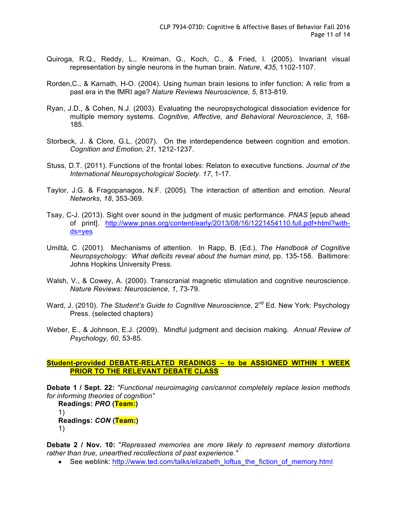- Quiroga, R.Q., Reddy, L., Kreiman, G., Koch, C., & Fried, I. (2005). Invariant visual representation by single neurons in the human brain. *Nature*, *435*, 1102-1107.
- Rorden,C., & Karnath, H-O. (2004). Using human brain lesions to infer function: A relic from a past era in the fMRI age? *Nature Reviews Neuroscience*, *5*, 813-819.
- Ryan, J.D., & Cohen, N.J. (2003). Evaluating the neuropsychological dissociation evidence for multiple memory systems. *Cognitive, Affective, and Behavioral Neuroscience*, *3*, 168- 185.
- Storbeck, J. & Clore, G.L. (2007). On the interdependence between cognition and emotion. *Cognition and Emotion, 21*, 1212-1237.
- Stuss, D.T. (2011). Functions of the frontal lobes: Relaton to executive functions. *Journal of the International Neuropsychological Society*. *17*, 1-17.
- Taylor, J.G. & Fragopanagos, N.F. (2005). The interaction of attention and emotion. *Neural Networks*, *18*, 353-369.
- Tsay, C-J. (2013). Sight over sound in the judgment of music performance. *PNAS* [epub ahead of print]. http://www.pnas.org/content/early/2013/08/16/1221454110.full.pdf+html?withds=yes
- Umiltà, C. (2001). Mechanisms of attention. In Rapp, B. (Ed.), *The Handbook of Cognitive Neuropsychology: What deficits reveal about the human mind*, pp. 135-158. Baltimore: Johns Hopkins University Press.
- Walsh, V., & Cowey, A. (2000). Transcranial magnetic stimulation and cognitive neuroscience. *Nature Reviews: Neuroscience*, *1*, 73-79.
- Ward, J. (2010). *The Student's Guide to Cognitive Neuroscience*, 2<sup>nd</sup> Ed. New York: Psychology Press. (selected chapters)
- Weber, E., & Johnson, E.J. (2009). Mindful judgment and decision making. *Annual Review of Psychology, 60*, 53-85.

#### **Student-provided DEBATE-RELATED READINGS – to be ASSIGNED WITHIN 1 WEEK PRIOR TO THE RELEVANT DEBATE CLASS**

**Debate 1 / Sept. 22:** *"Functional neuroimaging can/cannot completely replace lesion methods for informing theories of cognition"*

**Readings:** *PRO* **(Team:)** 1) **Readings:** *CON* **(Team:)** 1)

**Debate 2 / Nov. 10:** "*Repressed memories are more likely to represent memory distortions rather than true, unearthed recollections of past experience."*

• See weblink: http://www.ted.com/talks/elizabeth\_loftus\_the\_fiction\_of\_memory.html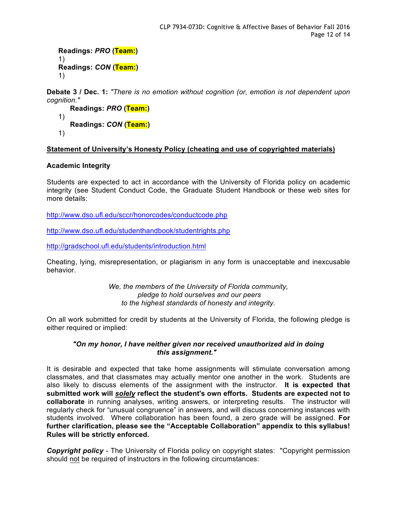```
Readings: PRO (Team:)
1)
Readings: CON (Team:)
1)
```
**Debate 3 / Dec. 1:** *"There is no emotion without cognition (or, emotion is not dependent upon cognition."*

```
Readings: PRO (Team:)
1)
   Readings: CON (Team:)
1)
```
## **Statement of University's Honesty Policy (cheating and use of copyrighted materials)**

## **Academic Integrity**

Students are expected to act in accordance with the University of Florida policy on academic integrity (see Student Conduct Code, the Graduate Student Handbook or these web sites for more details:

http://www.dso.ufl.edu/sccr/honorcodes/conductcode.php

http://www.dso.ufl.edu/studenthandbook/studentrights.php

http://gradschool.ufl.edu/students/introduction.html

Cheating, lying, misrepresentation, or plagiarism in any form is unacceptable and inexcusable behavior.

> *We, the members of the University of Florida community, pledge to hold ourselves and our peers to the highest standards of honesty and integrity.*

On all work submitted for credit by students at the University of Florida, the following pledge is either required or implied:

## *"On my honor, I have neither given nor received unauthorized aid in doing this assignment."*

It is desirable and expected that take home assignments will stimulate conversation among classmates, and that classmates may actually mentor one another in the work. Students are also likely to discuss elements of the assignment with the instructor. **It is expected that submitted work will** *solely* **reflect the student's own efforts. Students are expected not to collaborate** in running analyses, writing answers, or interpreting results. The instructor will regularly check for "unusual congruence" in answers, and will discuss concerning instances with students involved. Where collaboration has been found, a zero grade will be assigned. **For further clarification, please see the "Acceptable Collaboration" appendix to this syllabus! Rules will be strictly enforced.**

*Copyright policy -* The University of Florida policy on copyright states: "Copyright permission should not be required of instructors in the following circumstances: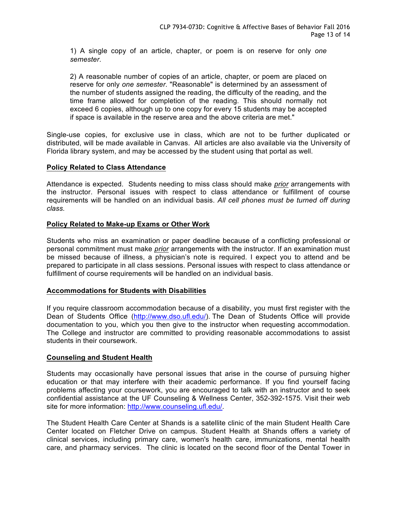1) A single copy of an article, chapter, or poem is on reserve for only *one semester*.

2) A reasonable number of copies of an article, chapter, or poem are placed on reserve for only *one semester*. "Reasonable" is determined by an assessment of the number of students assigned the reading, the difficulty of the reading, and the time frame allowed for completion of the reading. This should normally not exceed 6 copies, although up to one copy for every 15 students may be accepted if space is available in the reserve area and the above criteria are met."

Single-use copies, for exclusive use in class, which are not to be further duplicated or distributed, will be made available in Canvas. All articles are also available via the University of Florida library system, and may be accessed by the student using that portal as well.

## **Policy Related to Class Attendance**

Attendance is expected. Students needing to miss class should make *prior* arrangements with the instructor. Personal issues with respect to class attendance or fulfillment of course requirements will be handled on an individual basis. *All cell phones must be turned off during class.*

## **Policy Related to Make-up Exams or Other Work**

Students who miss an examination or paper deadline because of a conflicting professional or personal commitment must make *prior* arrangements with the instructor. If an examination must be missed because of illness, a physician's note is required. I expect you to attend and be prepared to participate in all class sessions. Personal issues with respect to class attendance or fulfillment of course requirements will be handled on an individual basis.

#### **Accommodations for Students with Disabilities**

If you require classroom accommodation because of a disability, you must first register with the Dean of Students Office (http://www.dso.ufl.edu/). The Dean of Students Office will provide documentation to you, which you then give to the instructor when requesting accommodation. The College and instructor are committed to providing reasonable accommodations to assist students in their coursework.

#### **Counseling and Student Health**

Students may occasionally have personal issues that arise in the course of pursuing higher education or that may interfere with their academic performance. If you find yourself facing problems affecting your coursework, you are encouraged to talk with an instructor and to seek confidential assistance at the UF Counseling & Wellness Center, 352-392-1575. Visit their web site for more information: http://www.counseling.ufl.edu/.

The Student Health Care Center at Shands is a satellite clinic of the main Student Health Care Center located on Fletcher Drive on campus. Student Health at Shands offers a variety of clinical services, including primary care, women's health care, immunizations, mental health care, and pharmacy services. The clinic is located on the second floor of the Dental Tower in